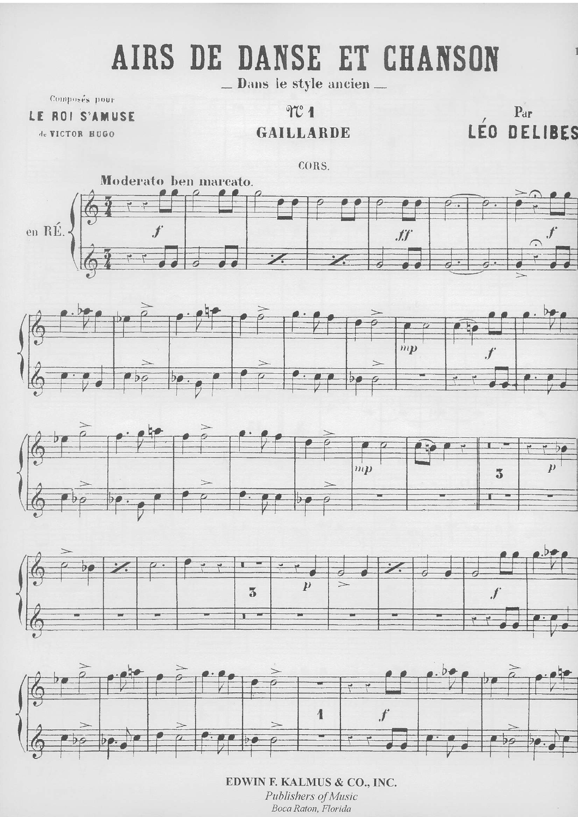## **AIRS DANSE ET** DE **CHANSON**

Dans le style ancien ...

Composés pour

LE ROI S'AMUSE

de VICTOR HUGO

 $TC1$ **GAILLARDE** 

 $\mathbf{p}_\mathrm{ar}$ LÉO DELIBES









EDWIN F. KALMUS & CO., INC. Publishers of Music Boca Raton, Florida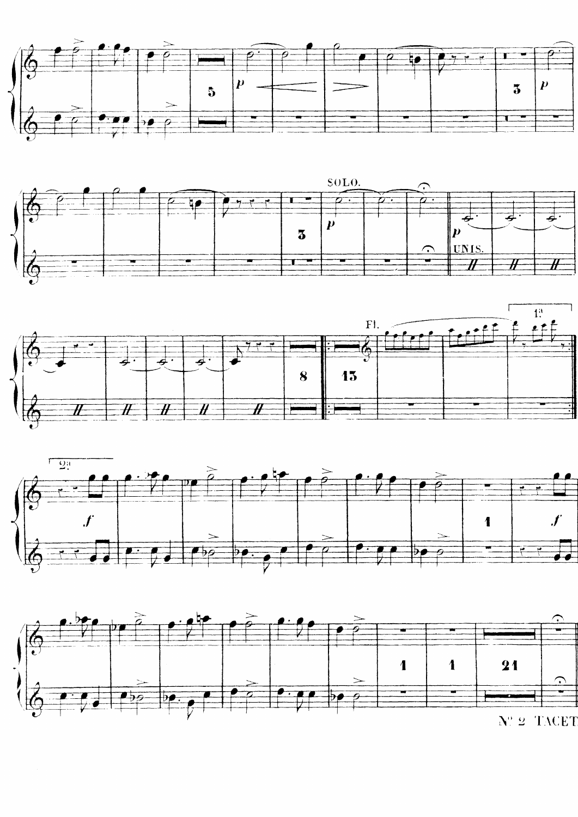







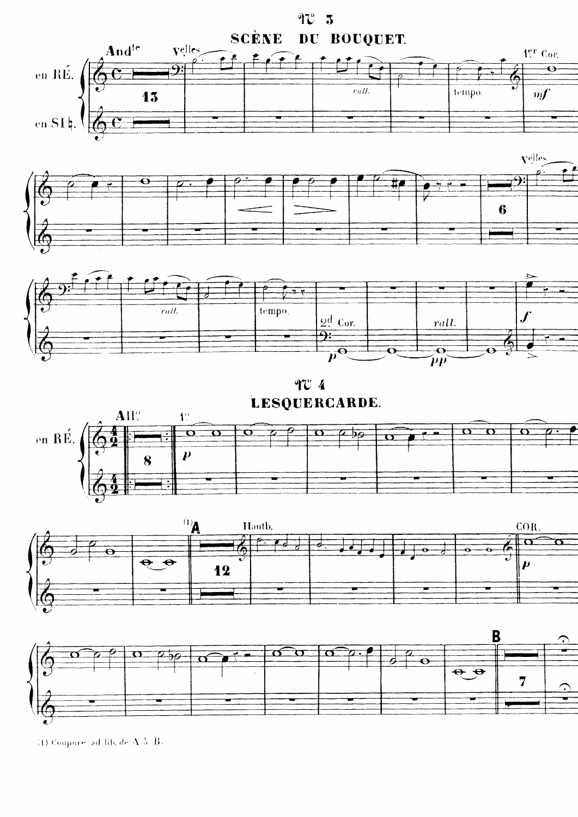





<sup>(1)</sup> Coupures ad lift de  $A, \lambda, B$ .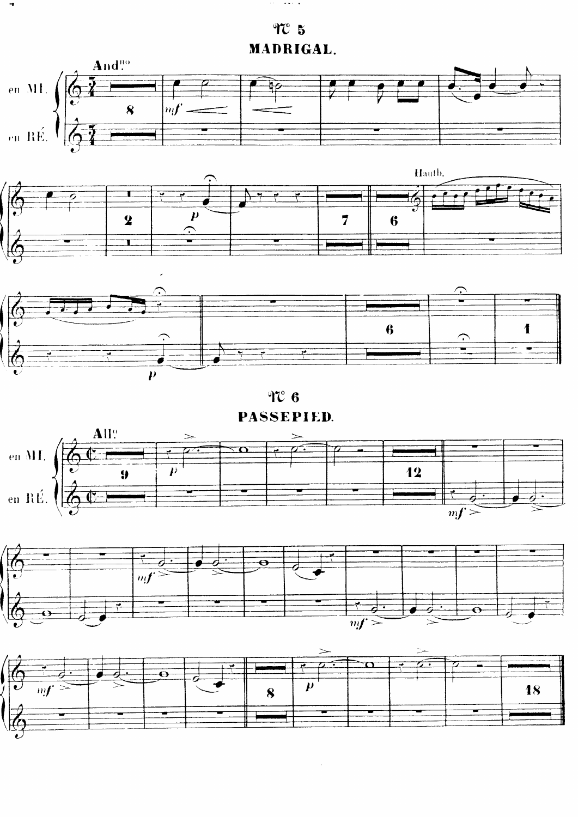$TC<sub>5</sub>$ MADRIGAL.

 $\mathcal{A}(\mathcal{A})$  and  $\mathcal{A}(\mathcal{A})$  and  $\mathcal{A}(\mathcal{A})$ 



 $\mathfrak{N}$  6 PASSEPIED.